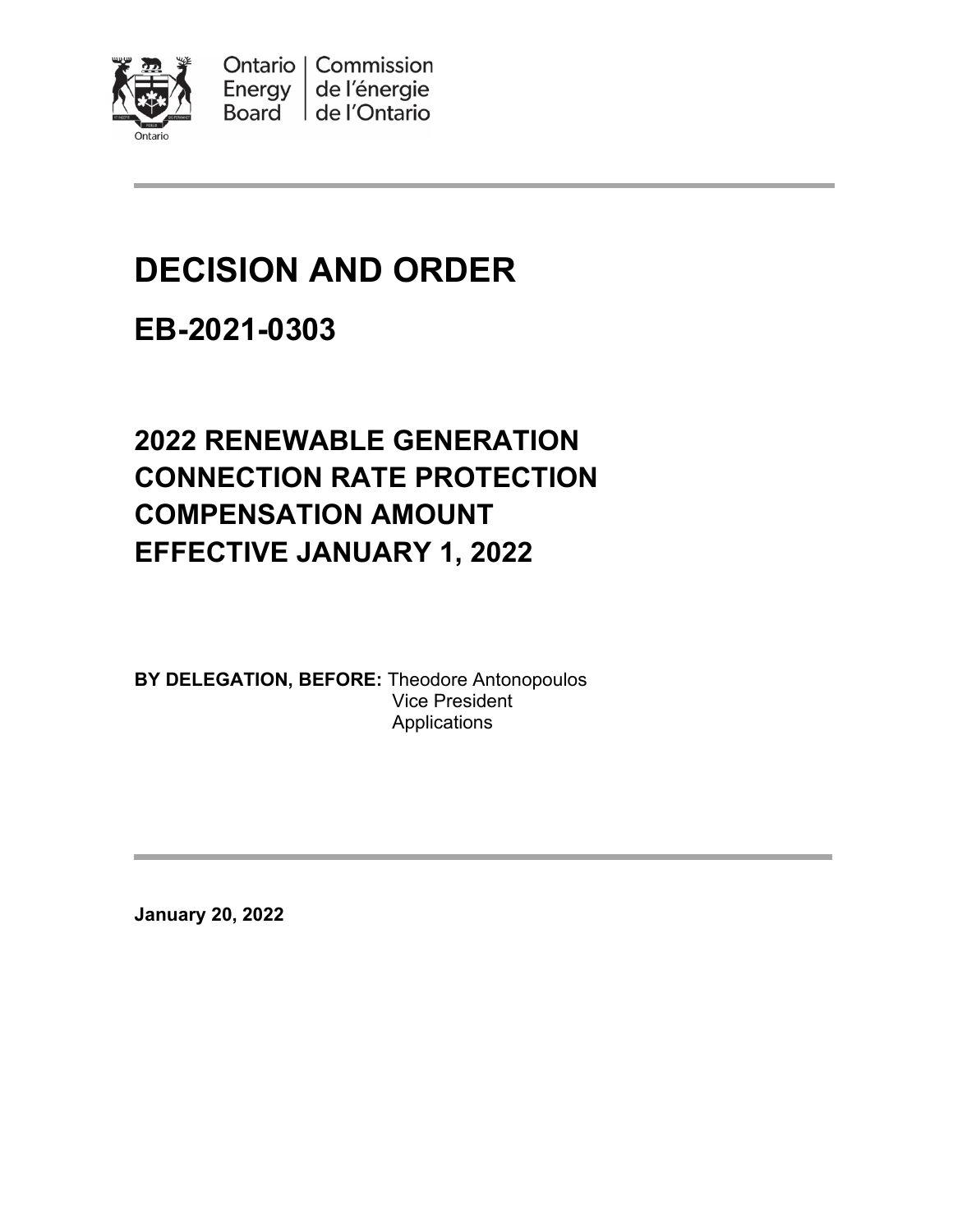

Ontario | Commission Energy de l'énergie Board de l'Ontario

# **DECISION AND ORDER**

# **EB-2021-0303**

# **2022 RENEWABLE GENERATION CONNECTION RATE PROTECTION COMPENSATION AMOUNT EFFECTIVE JANUARY 1, 2022**

**BY DELEGATION, BEFORE:** Theodore Antonopoulos Vice President **Applications** 

**January 20, 2022**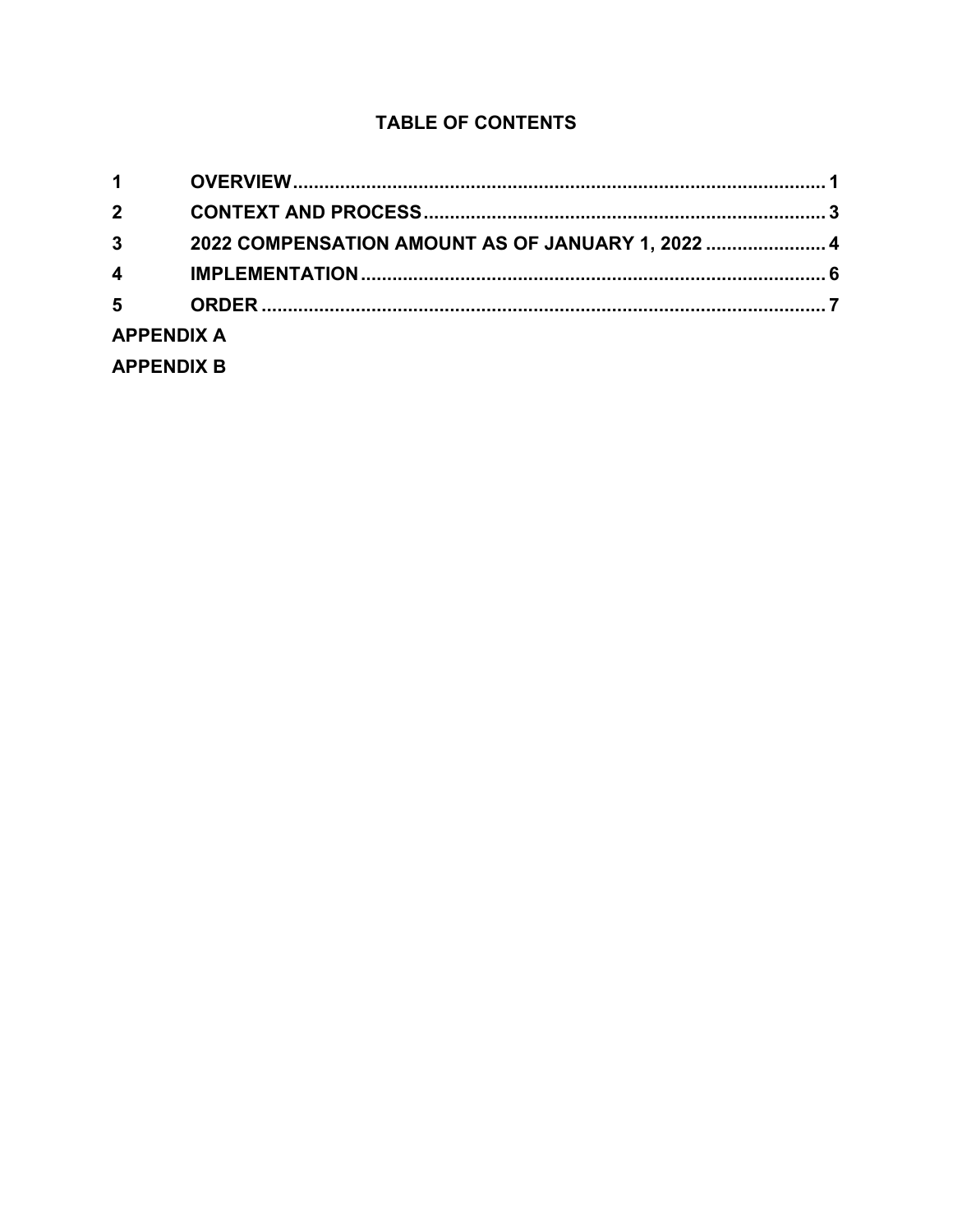### **TABLE OF CONTENTS**

| $1 \quad$               |                                                   |  |  |  |
|-------------------------|---------------------------------------------------|--|--|--|
| $\overline{2}$          |                                                   |  |  |  |
| $\overline{\mathbf{3}}$ | 2022 COMPENSATION AMOUNT AS OF JANUARY 1, 2022  4 |  |  |  |
| $\overline{\mathbf{4}}$ |                                                   |  |  |  |
| $5^{\circ}$             |                                                   |  |  |  |
| <b>APPENDIX A</b>       |                                                   |  |  |  |
| <b>APPENDIX B</b>       |                                                   |  |  |  |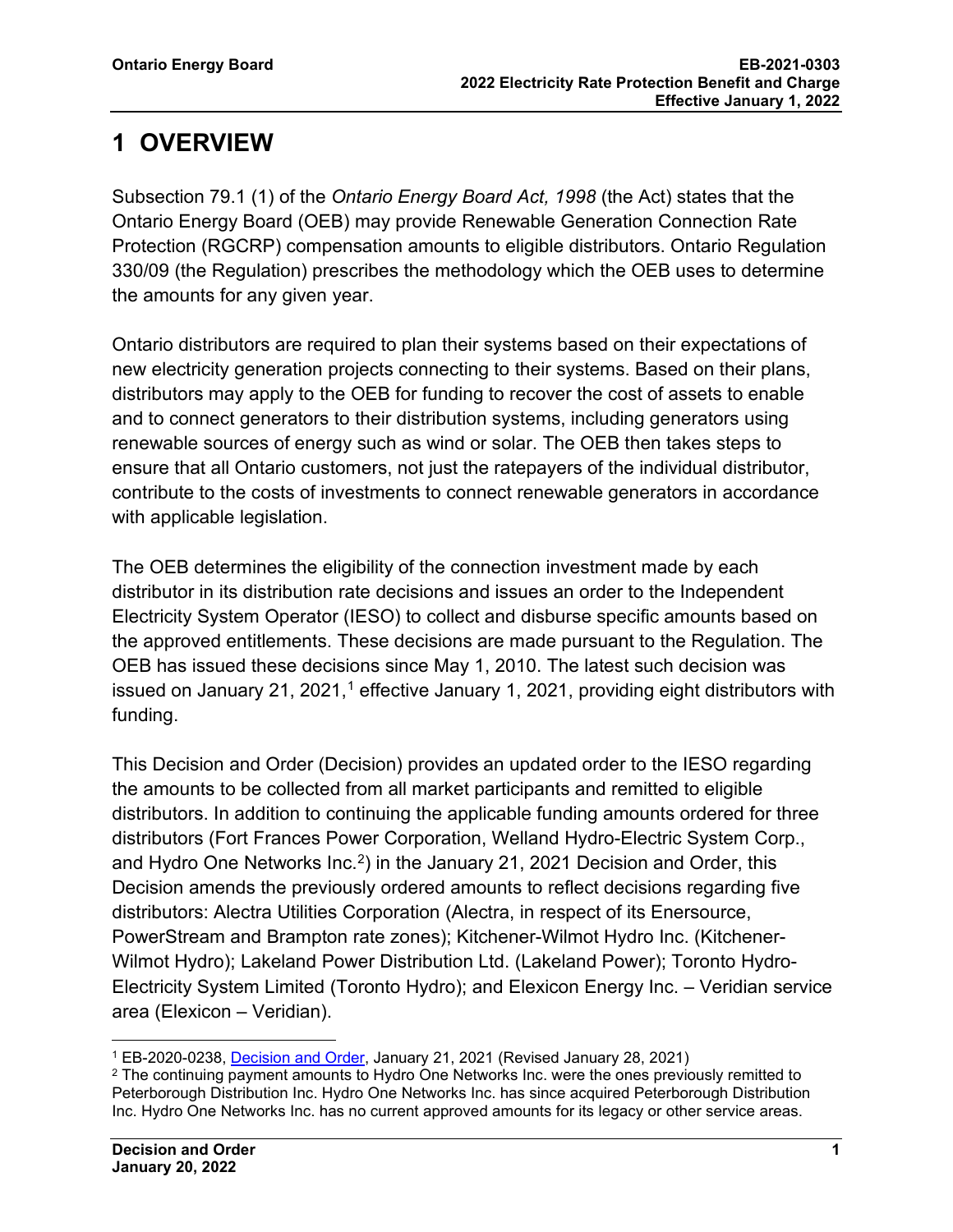# <span id="page-2-0"></span>**1 OVERVIEW**

Subsection 79.1 (1) of the *Ontario Energy Board Act, 1998* (the Act) states that the Ontario Energy Board (OEB) may provide Renewable Generation Connection Rate Protection (RGCRP) compensation amounts to eligible distributors. Ontario Regulation 330/09 (the Regulation) prescribes the methodology which the OEB uses to determine the amounts for any given year.

Ontario distributors are required to plan their systems based on their expectations of new electricity generation projects connecting to their systems. Based on their plans, distributors may apply to the OEB for funding to recover the cost of assets to enable and to connect generators to their distribution systems, including generators using renewable sources of energy such as wind or solar. The OEB then takes steps to ensure that all Ontario customers, not just the ratepayers of the individual distributor, contribute to the costs of investments to connect renewable generators in accordance with applicable legislation.

The OEB determines the eligibility of the connection investment made by each distributor in its distribution rate decisions and issues an order to the Independent Electricity System Operator (IESO) to collect and disburse specific amounts based on the approved entitlements. These decisions are made pursuant to the Regulation. The OEB has issued these decisions since May 1, 2010. The latest such decision was issued on January 2[1](#page-2-1), 2021, $^1$  effective January 1, 2021, providing eight distributors with funding.

This Decision and Order (Decision) provides an updated order to the IESO regarding the amounts to be collected from all market participants and remitted to eligible distributors. In addition to continuing the applicable funding amounts ordered for three distributors (Fort Frances Power Corporation, Welland Hydro-Electric System Corp., and Hydro One Networks Inc.<sup>[2](#page-2-2)</sup>) in the January 21, 2021 Decision and Order, this Decision amends the previously ordered amounts to reflect decisions regarding five distributors: Alectra Utilities Corporation (Alectra, in respect of its Enersource, PowerStream and Brampton rate zones); Kitchener-Wilmot Hydro Inc. (Kitchener-Wilmot Hydro); Lakeland Power Distribution Ltd. (Lakeland Power); Toronto Hydro-Electricity System Limited (Toronto Hydro); and Elexicon Energy Inc. – Veridian service area (Elexicon – Veridian).

<span id="page-2-1"></span><sup>1</sup> EB-2020-0238, [Decision and Order,](https://www.rds.oeb.ca/CMWebDrawer/Record/701485/File/document) January 21, 2021 (Revised January 28, 2021)

<span id="page-2-2"></span> $2$  The continuing payment amounts to Hydro One Networks Inc. were the ones previously remitted to Peterborough Distribution Inc. Hydro One Networks Inc. has since acquired Peterborough Distribution Inc. Hydro One Networks Inc. has no current approved amounts for its legacy or other service areas.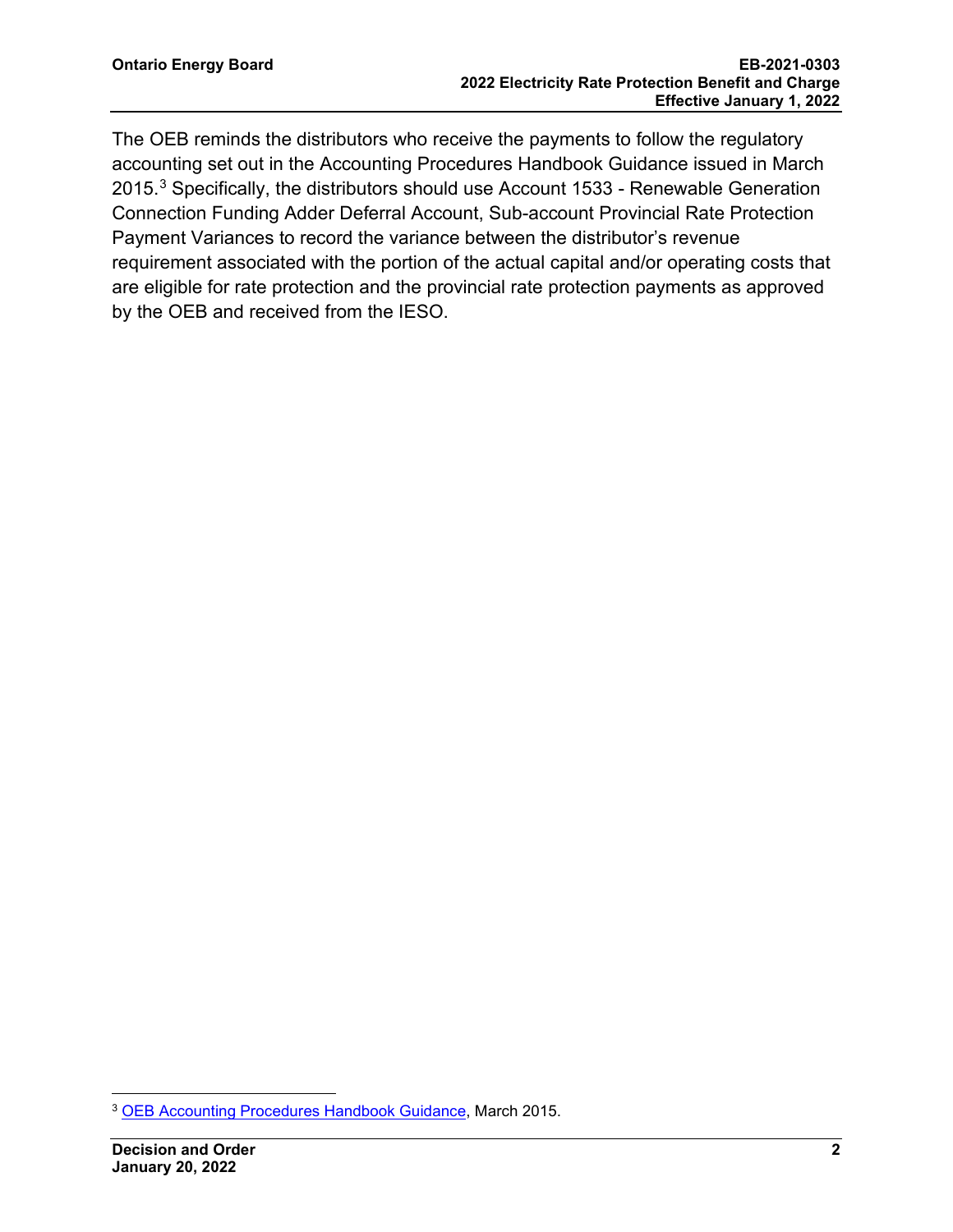The OEB reminds the distributors who receive the payments to follow the regulatory accounting set out in the Accounting Procedures Handbook Guidance issued in March 2015. [3](#page-3-0) Specifically, the distributors should use Account 1533 - Renewable Generation Connection Funding Adder Deferral Account, Sub-account Provincial Rate Protection Payment Variances to record the variance between the distributor's revenue requirement associated with the portion of the actual capital and/or operating costs that are eligible for rate protection and the provincial rate protection payments as approved by the OEB and received from the IESO.

<span id="page-3-0"></span><sup>3</sup> OEB Accounting [Procedures Handbook Guidance,](https://www.oeb.ca/oeb/_Documents/Regulatory/APH_Accounts_Opened_since_Dec2011.pdf) March 2015.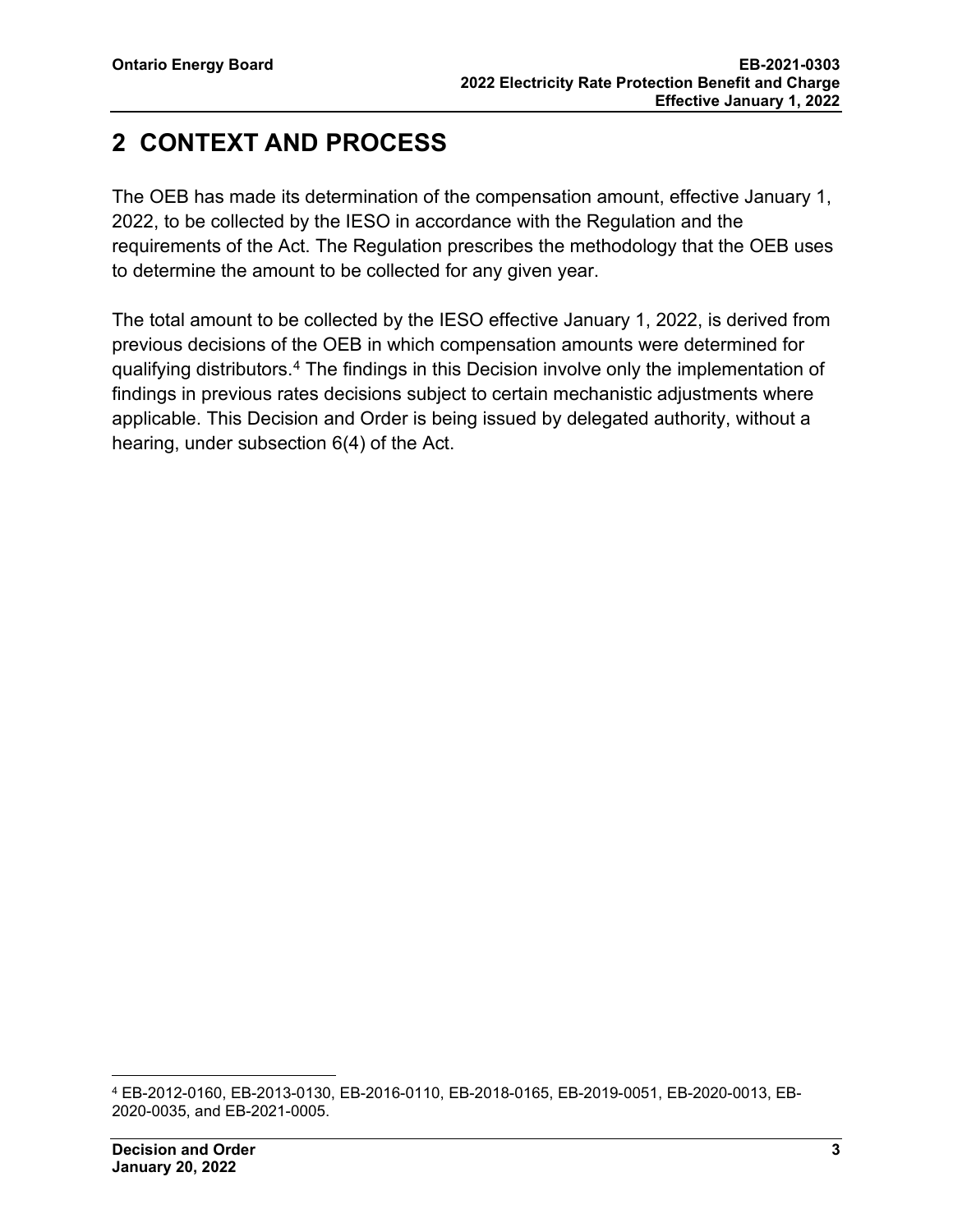## <span id="page-4-0"></span>**2 CONTEXT AND PROCESS**

The OEB has made its determination of the compensation amount, effective January 1, 2022, to be collected by the IESO in accordance with the Regulation and the requirements of the Act. The Regulation prescribes the methodology that the OEB uses to determine the amount to be collected for any given year.

The total amount to be collected by the IESO effective January 1, 2022, is derived from previous decisions of the OEB in which compensation amounts were determined for qualifying distributors. [4](#page-4-1) The findings in this Decision involve only the implementation of findings in previous rates decisions subject to certain mechanistic adjustments where applicable. This Decision and Order is being issued by delegated authority, without a hearing, under subsection 6(4) of the Act.

<span id="page-4-1"></span><sup>4</sup> EB-2012-0160, EB-2013-0130, EB-2016-0110, EB-2018-0165, EB-2019-0051, EB-2020-0013, EB-2020-0035, and EB-2021-0005.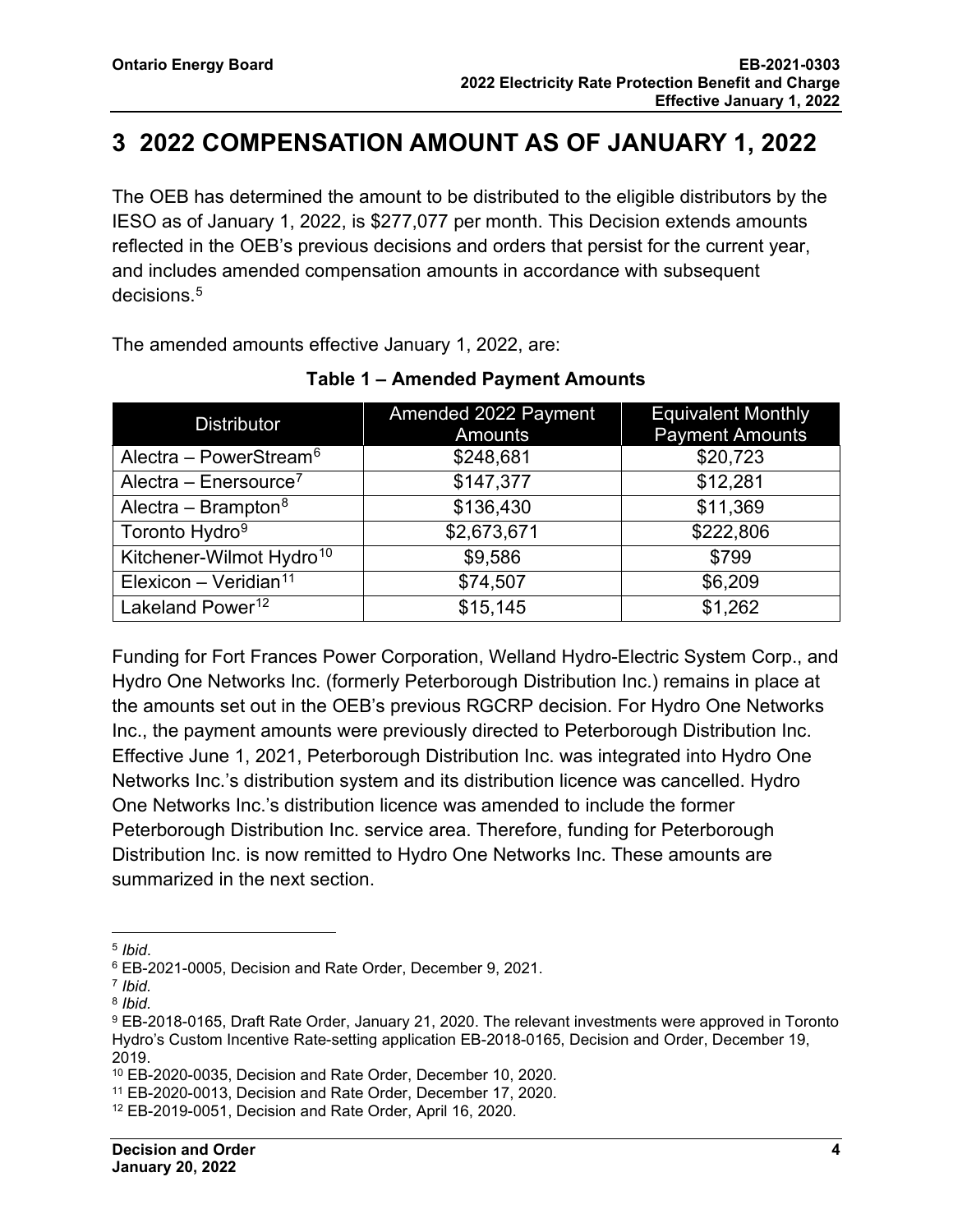## <span id="page-5-0"></span>**3 2022 COMPENSATION AMOUNT AS OF JANUARY 1, 2022**

The OEB has determined the amount to be distributed to the eligible distributors by the IESO as of January 1, 2022, is \$277,077 per month. This Decision extends amounts reflected in the OEB's previous decisions and orders that persist for the current year, and includes amended compensation amounts in accordance with subsequent decisions. [5](#page-5-1)

The amended amounts effective January 1, 2022, are:

| <b>Distributor</b>                   | Amended 2022 Payment<br>Amounts | <b>Equivalent Monthly</b><br><b>Payment Amounts</b> |  |
|--------------------------------------|---------------------------------|-----------------------------------------------------|--|
| Alectra – PowerStream <sup>6</sup>   | \$248,681                       | \$20,723                                            |  |
| Alectra – Enersource <sup>7</sup>    | \$147,377                       | \$12,281                                            |  |
| Alectra – Brampton <sup>8</sup>      | \$136,430                       | \$11,369                                            |  |
| Toronto Hydro <sup>9</sup>           | \$2,673,671                     | \$222,806                                           |  |
| Kitchener-Wilmot Hydro <sup>10</sup> | \$9,586                         | \$799                                               |  |
| Elexicon - Veridian <sup>11</sup>    | \$74,507                        | \$6,209                                             |  |
| Lakeland Power <sup>12</sup>         | \$15,145                        | \$1,262                                             |  |

#### **Table 1 – Amended Payment Amounts**

Funding for Fort Frances Power Corporation, Welland Hydro-Electric System Corp., and Hydro One Networks Inc. (formerly Peterborough Distribution Inc.) remains in place at the amounts set out in the OEB's previous RGCRP decision. For Hydro One Networks Inc., the payment amounts were previously directed to Peterborough Distribution Inc. Effective June 1, 2021, Peterborough Distribution Inc. was integrated into Hydro One Networks Inc.'s distribution system and its distribution licence was cancelled. Hydro One Networks Inc.'s distribution licence was amended to include the former Peterborough Distribution Inc. service area. Therefore, funding for Peterborough Distribution Inc. is now remitted to Hydro One Networks Inc. These amounts are summarized in the next section.

<span id="page-5-2"></span><span id="page-5-1"></span><sup>&</sup>lt;sup>5</sup> *Ibid.*<br><sup>6</sup> EB-2021-0005, Decision and Rate Order, December 9, 2021.

<span id="page-5-3"></span><sup>7</sup> *Ibid.*

<span id="page-5-4"></span><sup>8</sup> *Ibid.*

<span id="page-5-5"></span><sup>9</sup> EB-2018-0165, Draft Rate Order, January 21, 2020. The relevant investments were approved in Toronto Hydro's Custom Incentive Rate-setting application EB-2018-0165, Decision and Order, December 19, 2019.

<span id="page-5-6"></span><sup>10</sup> EB-2020-0035, Decision and Rate Order, December 10, 2020*.*

<span id="page-5-7"></span><sup>11</sup> EB-2020-0013, Decision and Rate Order, December 17, 2020*.*

<span id="page-5-8"></span><sup>12</sup> EB-2019-0051, Decision and Rate Order, April 16, 2020.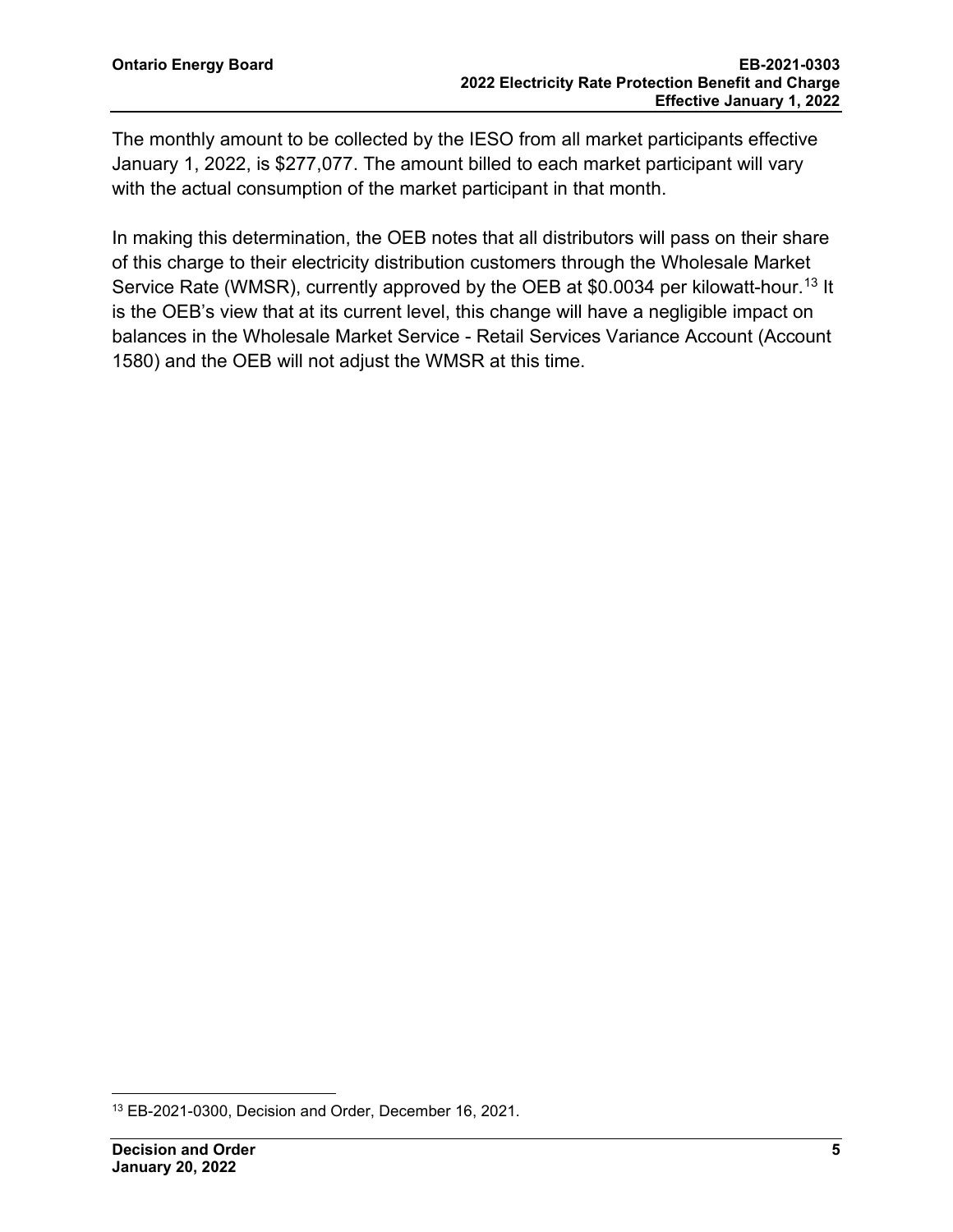The monthly amount to be collected by the IESO from all market participants effective January 1, 2022, is \$277,077. The amount billed to each market participant will vary with the actual consumption of the market participant in that month.

In making this determination, the OEB notes that all distributors will pass on their share of this charge to their electricity distribution customers through the Wholesale Market Service Rate (WMSR), currently approved by the OEB at \$0.0034 per kilowatt-hour. [13](#page-6-0) It is the OEB's view that at its current level, this change will have a negligible impact on balances in the Wholesale Market Service - Retail Services Variance Account (Account 1580) and the OEB will not adjust the WMSR at this time.

<span id="page-6-0"></span><sup>13</sup> EB-2021-0300, Decision and Order, December 16, 2021.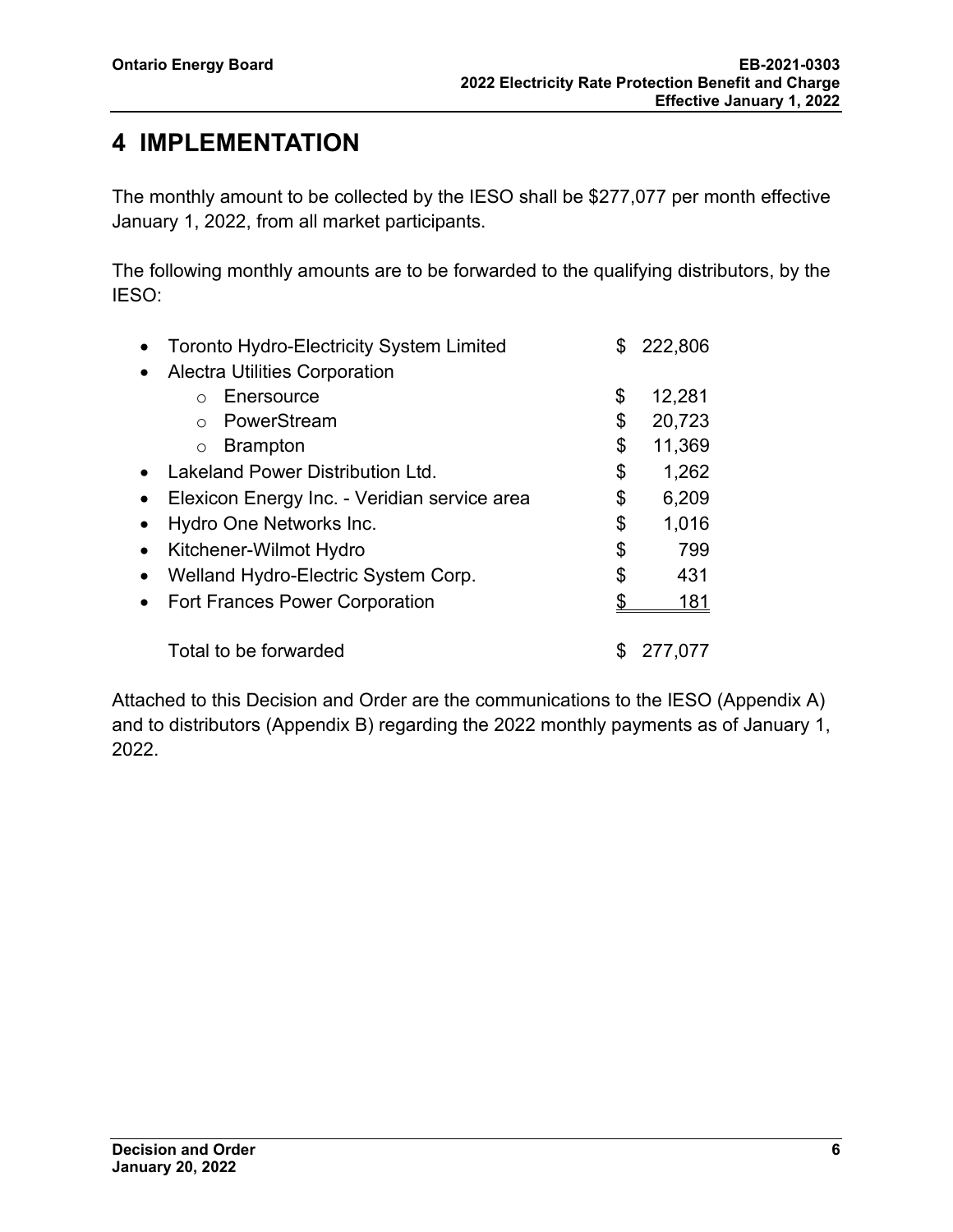## <span id="page-7-0"></span>**4 IMPLEMENTATION**

The monthly amount to be collected by the IESO shall be \$277,077 per month effective January 1, 2022, from all market participants.

The following monthly amounts are to be forwarded to the qualifying distributors, by the IESO:

|           | <b>Toronto Hydro-Electricity System Limited</b> | S  | 222,806 |
|-----------|-------------------------------------------------|----|---------|
|           | <b>Alectra Utilities Corporation</b>            |    |         |
|           | Enersource                                      | \$ | 12,281  |
|           | PowerStream                                     | \$ | 20,723  |
|           | <b>Brampton</b><br>$\circ$                      | \$ | 11,369  |
|           | Lakeland Power Distribution Ltd.                | \$ | 1,262   |
| $\bullet$ | Elexicon Energy Inc. - Veridian service area    | \$ | 6,209   |
|           | Hydro One Networks Inc.                         | \$ | 1,016   |
| $\bullet$ | Kitchener-Wilmot Hydro                          | \$ | 799     |
|           | Welland Hydro-Electric System Corp.             | \$ | 431     |
|           | <b>Fort Frances Power Corporation</b>           |    | 181     |
|           | Total to be forwarded                           |    | 277.077 |

Attached to this Decision and Order are the communications to the IESO (Appendix A) and to distributors (Appendix B) regarding the 2022 monthly payments as of January 1, 2022.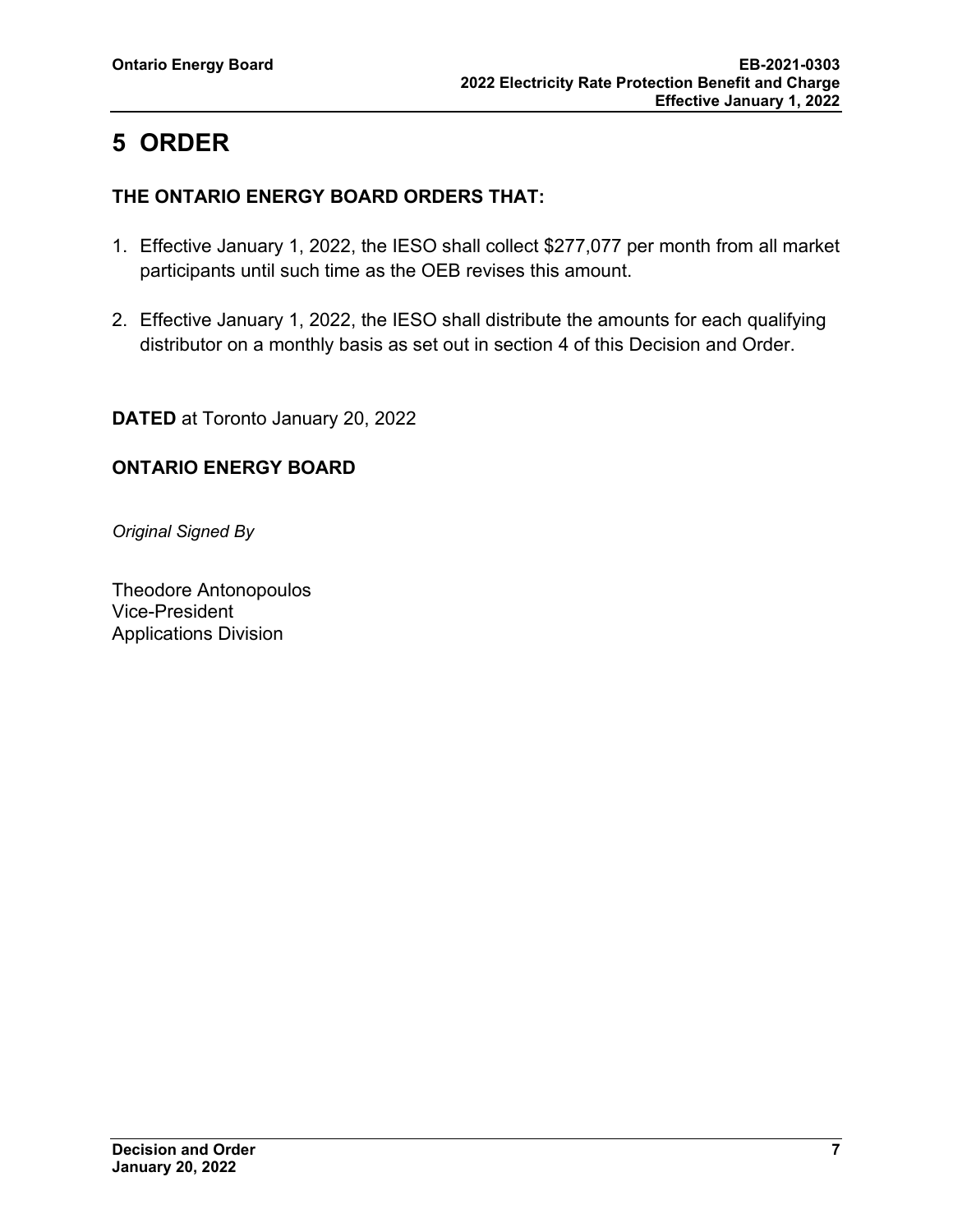# <span id="page-8-0"></span>**5 ORDER**

#### **THE ONTARIO ENERGY BOARD ORDERS THAT:**

- 1. Effective January 1, 2022, the IESO shall collect \$277,077 per month from all market participants until such time as the OEB revises this amount.
- 2. Effective January 1, 2022, the IESO shall distribute the amounts for each qualifying distributor on a monthly basis as set out in section 4 of this Decision and Order.

**DATED** at Toronto January 20, 2022

## **ONTARIO ENERGY BOARD**

*Original Signed By*

Theodore Antonopoulos Vice-President Applications Division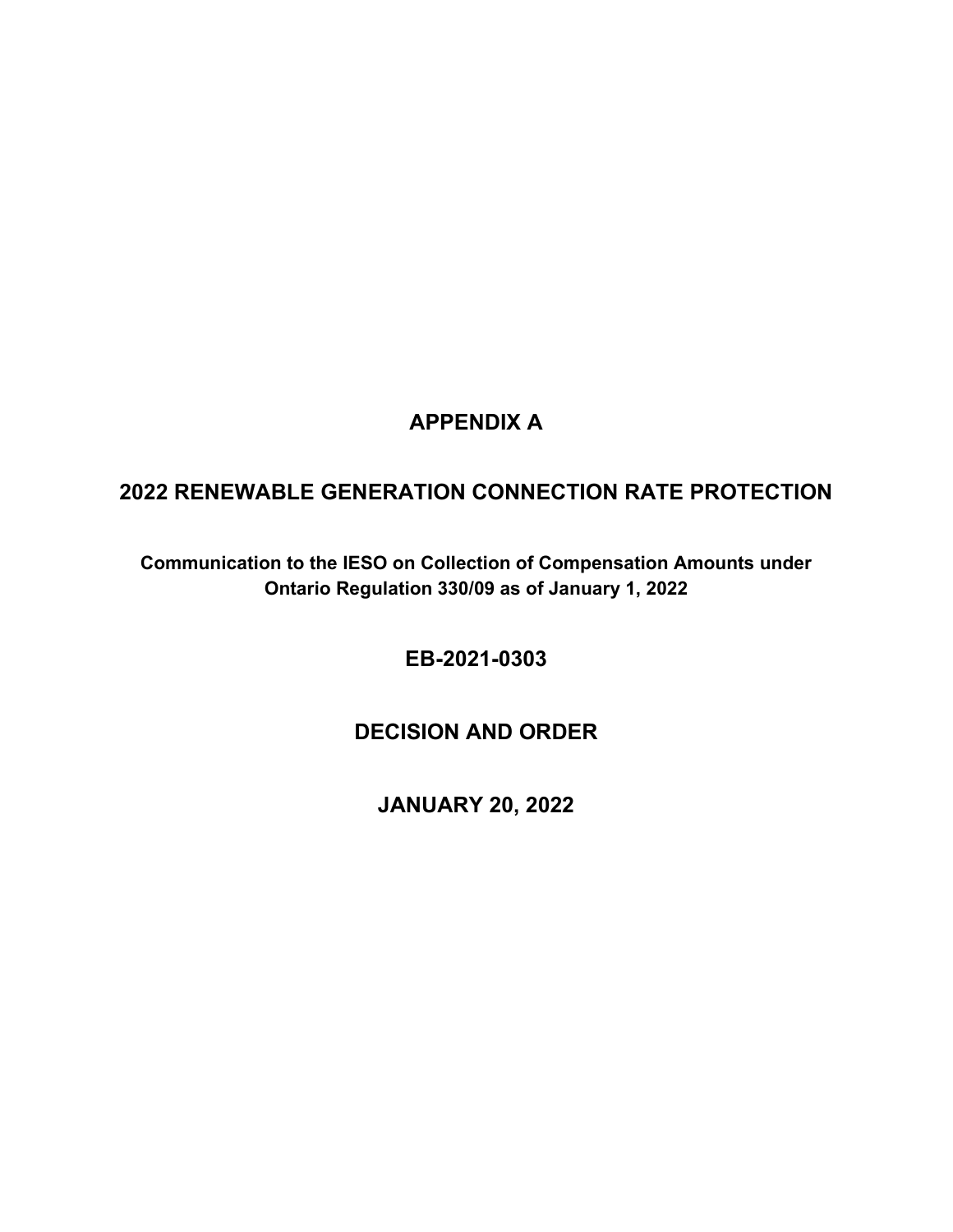## **APPENDIX A**

## <span id="page-9-0"></span>**2022 RENEWABLE GENERATION CONNECTION RATE PROTECTION**

**Communication to the IESO on Collection of Compensation Amounts under Ontario Regulation 330/09 as of January 1, 2022**

**EB-2021-0303**

**DECISION AND ORDER**

**JANUARY 20, 2022**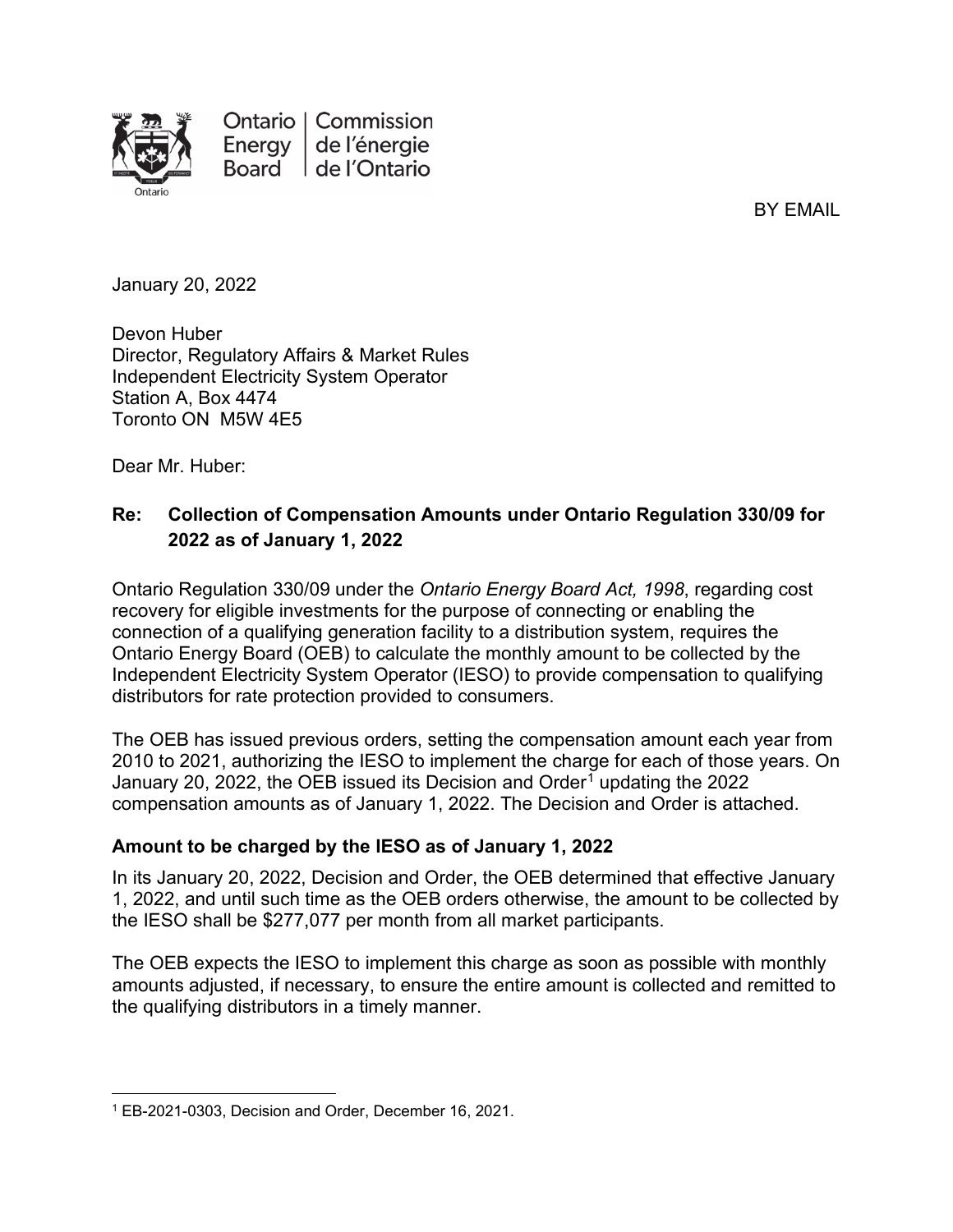

Ontario | Commission Energy de l'énergie Board de l'Ontario

BY EMAIL

January 20, 2022

Devon Huber Director, Regulatory Affairs & Market Rules Independent Electricity System Operator Station A, Box 4474 Toronto ON M5W 4E5

Dear Mr. Huber:

#### **Re: Collection of Compensation Amounts under Ontario Regulation 330/09 for 2022 as of January 1, 2022**

Ontario Regulation 330/09 under the *Ontario Energy Board Act, 1998*, regarding cost recovery for eligible investments for the purpose of connecting or enabling the connection of a qualifying generation facility to a distribution system, requires the Ontario Energy Board (OEB) to calculate the monthly amount to be collected by the Independent Electricity System Operator (IESO) to provide compensation to qualifying distributors for rate protection provided to consumers.

The OEB has issued previous orders, setting the compensation amount each year from 2010 to 2021, authorizing the IESO to implement the charge for each of those years. On January 20, 2022, the OEB issued its Decision and Order<sup>[1](#page-10-0)</sup> updating the 2022 compensation amounts as of January 1, 2022. The Decision and Order is attached.

#### **Amount to be charged by the IESO as of January 1, 2022**

In its January 20, 2022, Decision and Order, the OEB determined that effective January 1, 2022, and until such time as the OEB orders otherwise, the amount to be collected by the IESO shall be \$277,077 per month from all market participants.

The OEB expects the IESO to implement this charge as soon as possible with monthly amounts adjusted, if necessary, to ensure the entire amount is collected and remitted to the qualifying distributors in a timely manner.

<span id="page-10-0"></span><sup>1</sup> EB-2021-0303, Decision and Order, December 16, 2021.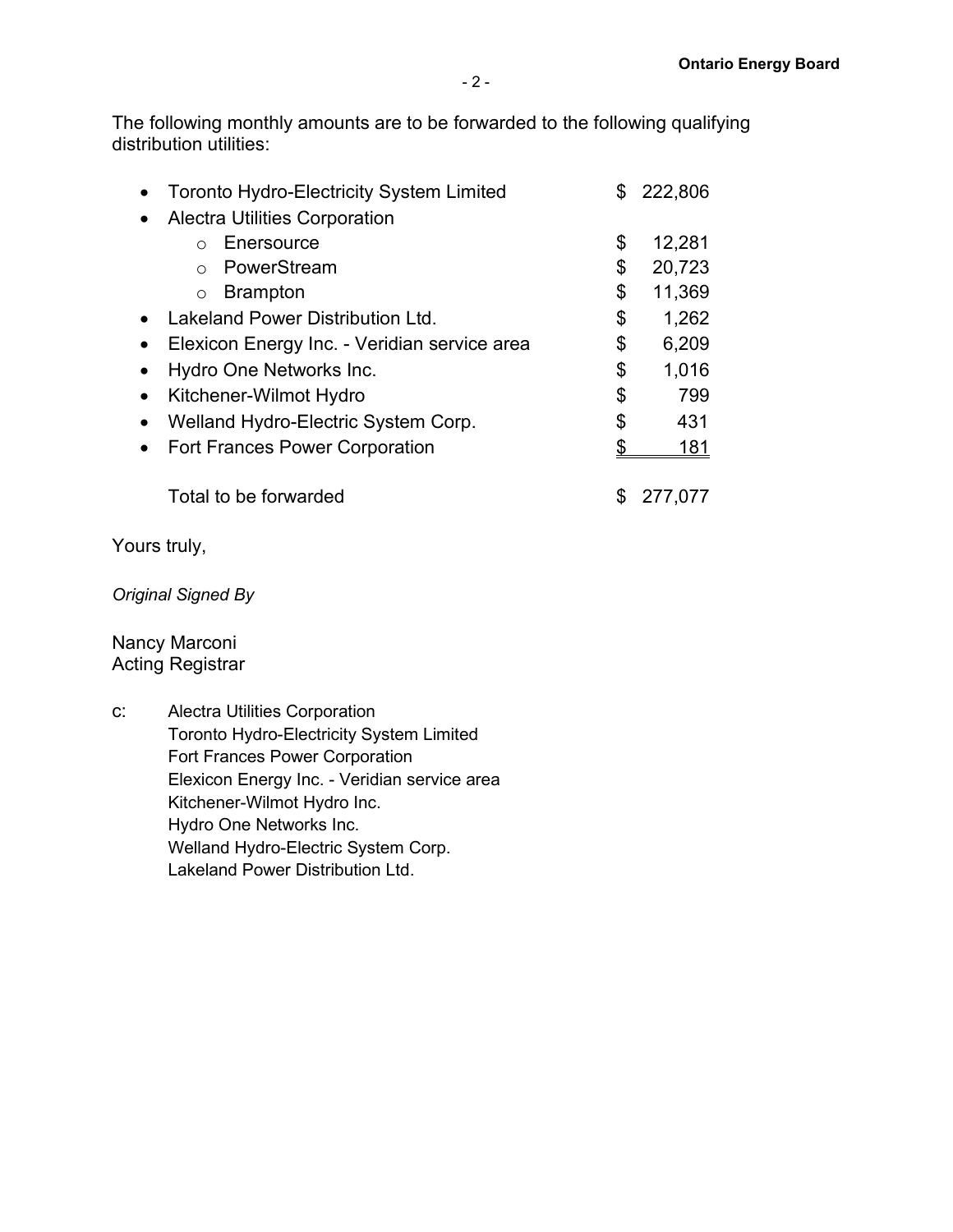The following monthly amounts are to be forwarded to the following qualifying distribution utilities:

| <b>Toronto Hydro-Electricity System Limited</b> |    | 222,806 |
|-------------------------------------------------|----|---------|
| <b>Alectra Utilities Corporation</b>            |    |         |
| Enersource                                      | \$ | 12,281  |
| PowerStream                                     | \$ | 20,723  |
| <b>Brampton</b><br>$\bigcirc$                   | \$ | 11,369  |
| Lakeland Power Distribution Ltd.                | \$ | 1,262   |
| Elexicon Energy Inc. - Veridian service area    | \$ | 6,209   |
| Hydro One Networks Inc.                         | \$ | 1,016   |
| Kitchener-Wilmot Hydro                          |    | 799     |
| Welland Hydro-Electric System Corp.             | \$ | 431     |
| <b>Fort Frances Power Corporation</b>           |    | 181     |
| Total to be forwarded                           |    | 277,077 |

Yours truly,

*Original Signed By*

Nancy Marconi Acting Registrar

c: Alectra Utilities Corporation Toronto Hydro-Electricity System Limited Fort Frances Power Corporation Elexicon Energy Inc. - Veridian service area Kitchener-Wilmot Hydro Inc. Hydro One Networks Inc. Welland Hydro-Electric System Corp. Lakeland Power Distribution Ltd.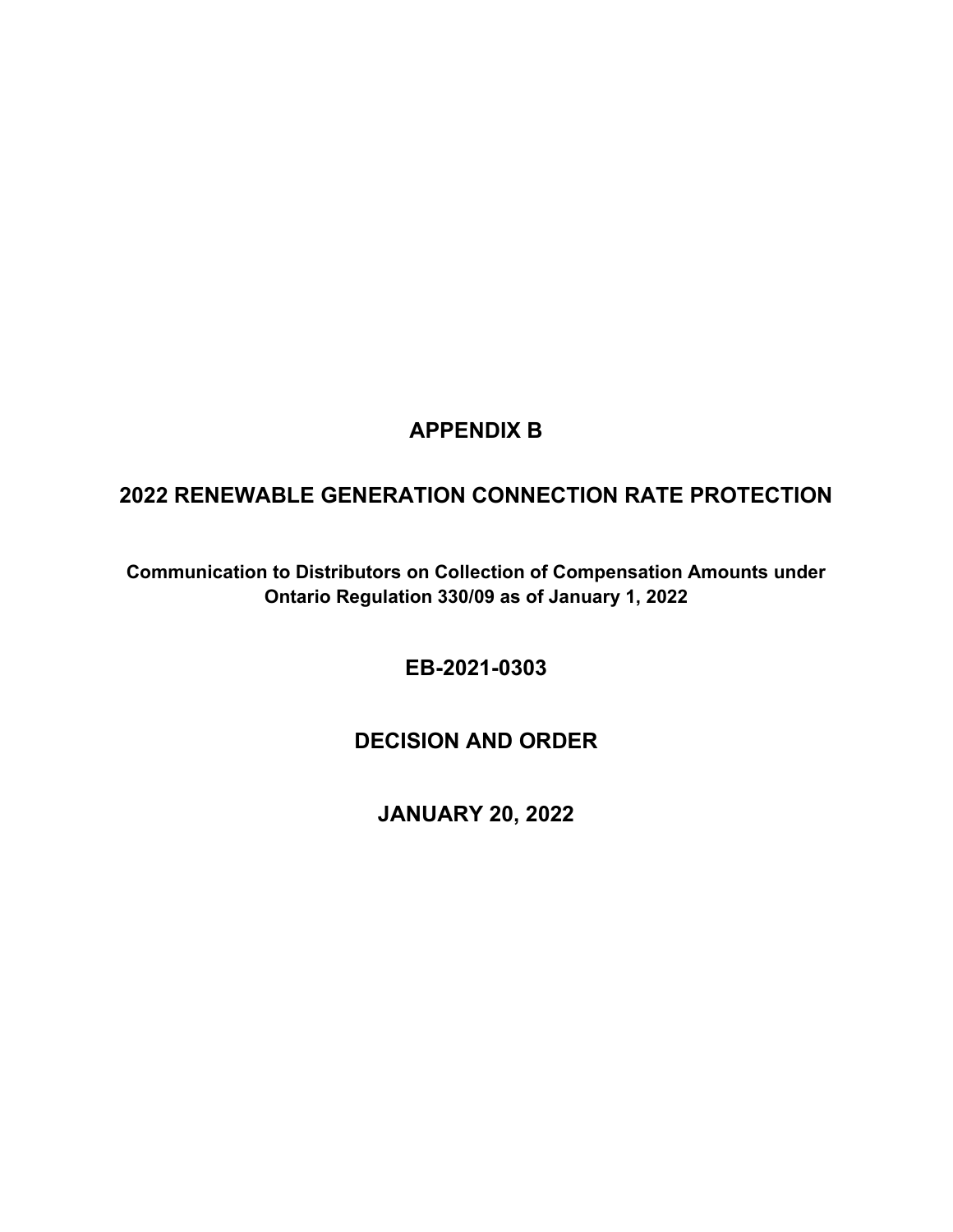## **APPENDIX B**

## <span id="page-12-0"></span>**2022 RENEWABLE GENERATION CONNECTION RATE PROTECTION**

**Communication to Distributors on Collection of Compensation Amounts under Ontario Regulation 330/09 as of January 1, 2022**

**EB-2021-0303**

## **DECISION AND ORDER**

**JANUARY 20, 2022**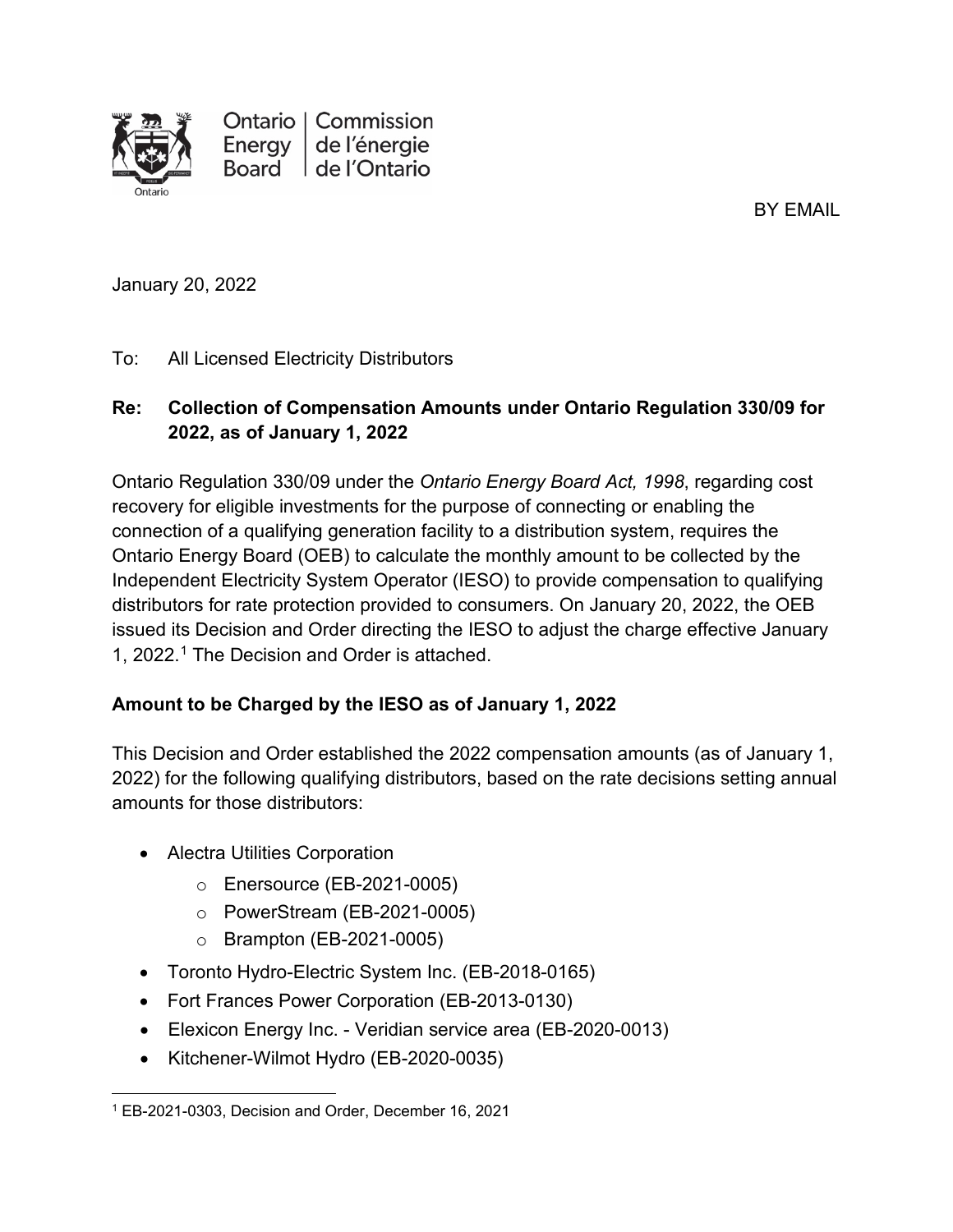

Ontario | Commission Energy de l'énergie Board de l'Ontario

BY EMAIL

January 20, 2022

### To: All Licensed Electricity Distributors

### **Re: Collection of Compensation Amounts under Ontario Regulation 330/09 for 2022, as of January 1, 2022**

Ontario Regulation 330/09 under the *Ontario Energy Board Act, 1998*, regarding cost recovery for eligible investments for the purpose of connecting or enabling the connection of a qualifying generation facility to a distribution system, requires the Ontario Energy Board (OEB) to calculate the monthly amount to be collected by the Independent Electricity System Operator (IESO) to provide compensation to qualifying distributors for rate protection provided to consumers. On January 20, 2022, the OEB issued its Decision and Order directing the IESO to adjust the charge effective January 1, 2022.[1](#page-13-0) The Decision and Order is attached.

### **Amount to be Charged by the IESO as of January 1, 2022**

This Decision and Order established the 2022 compensation amounts (as of January 1, 2022) for the following qualifying distributors, based on the rate decisions setting annual amounts for those distributors:

- Alectra Utilities Corporation
	- o Enersource (EB-2021-0005)
	- o PowerStream (EB-2021-0005)
	- o Brampton (EB-2021-0005)
- Toronto Hydro-Electric System Inc. (EB-2018-0165)
- Fort Frances Power Corporation (EB-2013-0130)
- Elexicon Energy Inc. Veridian service area (EB-2020-0013)
- Kitchener-Wilmot Hydro (EB-2020-0035)

<span id="page-13-0"></span><sup>1</sup> EB-2021-0303, Decision and Order, December 16, 2021